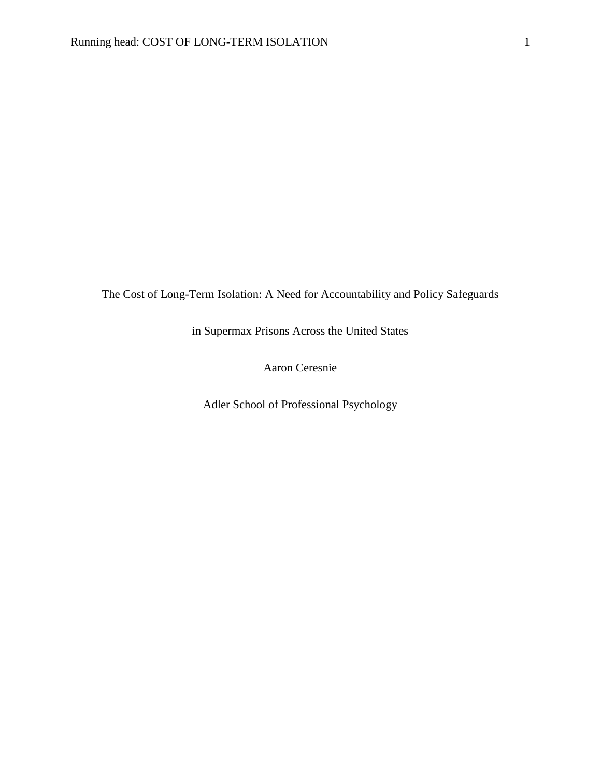The Cost of Long-Term Isolation: A Need for Accountability and Policy Safeguards

in Supermax Prisons Across the United States

Aaron Ceresnie

Adler School of Professional Psychology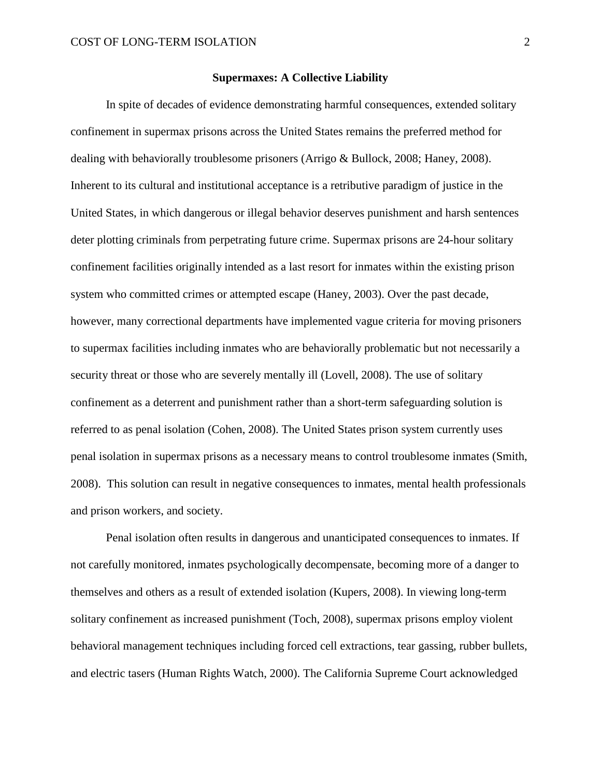### **Supermaxes: A Collective Liability**

In spite of decades of evidence demonstrating harmful consequences, extended solitary confinement in supermax prisons across the United States remains the preferred method for dealing with behaviorally troublesome prisoners (Arrigo & Bullock, 2008; Haney, 2008). Inherent to its cultural and institutional acceptance is a retributive paradigm of justice in the United States, in which dangerous or illegal behavior deserves punishment and harsh sentences deter plotting criminals from perpetrating future crime. Supermax prisons are 24-hour solitary confinement facilities originally intended as a last resort for inmates within the existing prison system who committed crimes or attempted escape (Haney, 2003). Over the past decade, however, many correctional departments have implemented vague criteria for moving prisoners to supermax facilities including inmates who are behaviorally problematic but not necessarily a security threat or those who are severely mentally ill (Lovell, 2008). The use of solitary confinement as a deterrent and punishment rather than a short-term safeguarding solution is referred to as penal isolation (Cohen, 2008). The United States prison system currently uses penal isolation in supermax prisons as a necessary means to control troublesome inmates (Smith, 2008). This solution can result in negative consequences to inmates, mental health professionals and prison workers, and society.

Penal isolation often results in dangerous and unanticipated consequences to inmates. If not carefully monitored, inmates psychologically decompensate, becoming more of a danger to themselves and others as a result of extended isolation (Kupers, 2008). In viewing long-term solitary confinement as increased punishment (Toch, 2008), supermax prisons employ violent behavioral management techniques including forced cell extractions, tear gassing, rubber bullets, and electric tasers (Human Rights Watch, 2000). The California Supreme Court acknowledged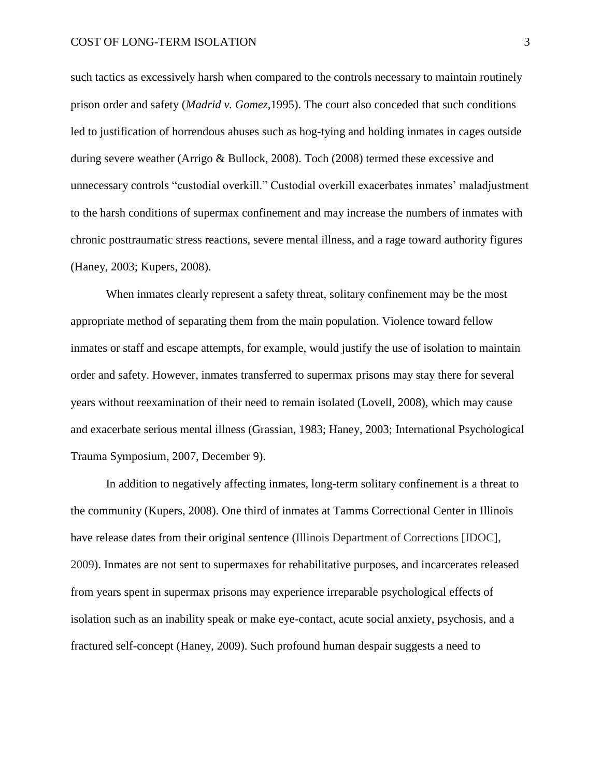such tactics as excessively harsh when compared to the controls necessary to maintain routinely prison order and safety (*Madrid v. Gomez,*1995). The court also conceded that such conditions led to justification of horrendous abuses such as hog-tying and holding inmates in cages outside during severe weather (Arrigo & Bullock, 2008). Toch (2008) termed these excessive and unnecessary controls "custodial overkill." Custodial overkill exacerbates inmates' maladjustment to the harsh conditions of supermax confinement and may increase the numbers of inmates with chronic posttraumatic stress reactions, severe mental illness, and a rage toward authority figures (Haney, 2003; Kupers, 2008).

When inmates clearly represent a safety threat, solitary confinement may be the most appropriate method of separating them from the main population. Violence toward fellow inmates or staff and escape attempts, for example, would justify the use of isolation to maintain order and safety. However, inmates transferred to supermax prisons may stay there for several years without reexamination of their need to remain isolated (Lovell, 2008), which may cause and exacerbate serious mental illness (Grassian, 1983; Haney, 2003; International Psychological Trauma Symposium, 2007, December 9).

In addition to negatively affecting inmates, long-term solitary confinement is a threat to the community (Kupers, 2008). One third of inmates at Tamms Correctional Center in Illinois have release dates from their original sentence (Illinois Department of Corrections [IDOC], 2009). Inmates are not sent to supermaxes for rehabilitative purposes, and incarcerates released from years spent in supermax prisons may experience irreparable psychological effects of isolation such as an inability speak or make eye-contact, acute social anxiety, psychosis, and a fractured self-concept (Haney, 2009). Such profound human despair suggests a need to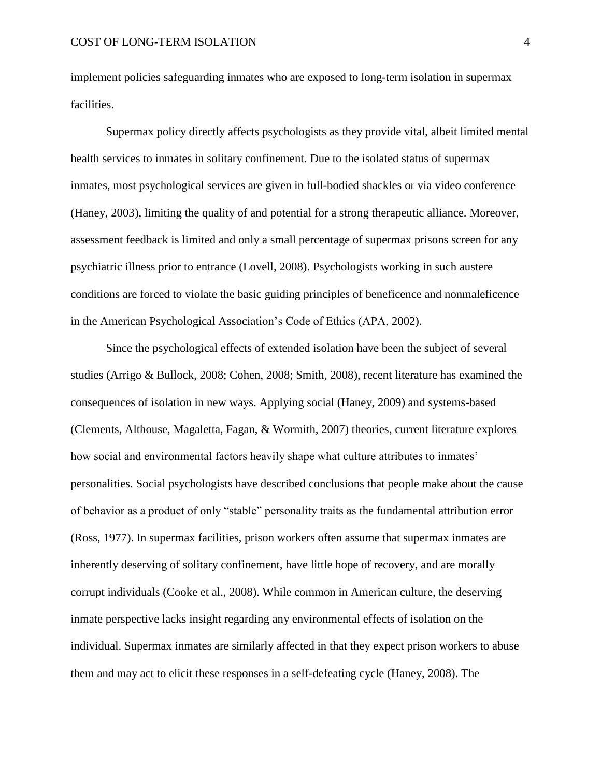implement policies safeguarding inmates who are exposed to long-term isolation in supermax facilities.

Supermax policy directly affects psychologists as they provide vital, albeit limited mental health services to inmates in solitary confinement. Due to the isolated status of supermax inmates, most psychological services are given in full-bodied shackles or via video conference (Haney, 2003), limiting the quality of and potential for a strong therapeutic alliance. Moreover, assessment feedback is limited and only a small percentage of supermax prisons screen for any psychiatric illness prior to entrance (Lovell, 2008). Psychologists working in such austere conditions are forced to violate the basic guiding principles of beneficence and nonmaleficence in the American Psychological Association"s Code of Ethics (APA, 2002).

Since the psychological effects of extended isolation have been the subject of several studies (Arrigo & Bullock, 2008; Cohen, 2008; Smith, 2008), recent literature has examined the consequences of isolation in new ways. Applying social (Haney, 2009) and systems-based (Clements, Althouse, Magaletta, Fagan, & Wormith, 2007) theories, current literature explores how social and environmental factors heavily shape what culture attributes to inmates' personalities. Social psychologists have described conclusions that people make about the cause of behavior as a product of only "stable" personality traits as the fundamental attribution error (Ross, 1977). In supermax facilities, prison workers often assume that supermax inmates are inherently deserving of solitary confinement, have little hope of recovery, and are morally corrupt individuals (Cooke et al., 2008). While common in American culture, the deserving inmate perspective lacks insight regarding any environmental effects of isolation on the individual. Supermax inmates are similarly affected in that they expect prison workers to abuse them and may act to elicit these responses in a self-defeating cycle (Haney, 2008). The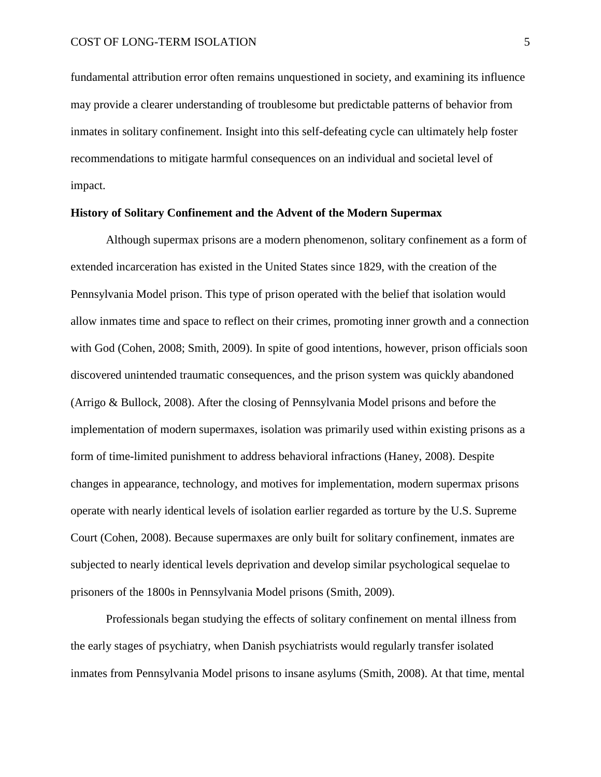fundamental attribution error often remains unquestioned in society, and examining its influence may provide a clearer understanding of troublesome but predictable patterns of behavior from inmates in solitary confinement. Insight into this self-defeating cycle can ultimately help foster recommendations to mitigate harmful consequences on an individual and societal level of impact.

# **History of Solitary Confinement and the Advent of the Modern Supermax**

Although supermax prisons are a modern phenomenon, solitary confinement as a form of extended incarceration has existed in the United States since 1829, with the creation of the Pennsylvania Model prison. This type of prison operated with the belief that isolation would allow inmates time and space to reflect on their crimes, promoting inner growth and a connection with God (Cohen, 2008; Smith, 2009). In spite of good intentions, however, prison officials soon discovered unintended traumatic consequences, and the prison system was quickly abandoned (Arrigo & Bullock, 2008). After the closing of Pennsylvania Model prisons and before the implementation of modern supermaxes, isolation was primarily used within existing prisons as a form of time-limited punishment to address behavioral infractions (Haney, 2008). Despite changes in appearance, technology, and motives for implementation, modern supermax prisons operate with nearly identical levels of isolation earlier regarded as torture by the U.S. Supreme Court (Cohen, 2008). Because supermaxes are only built for solitary confinement, inmates are subjected to nearly identical levels deprivation and develop similar psychological sequelae to prisoners of the 1800s in Pennsylvania Model prisons (Smith, 2009).

Professionals began studying the effects of solitary confinement on mental illness from the early stages of psychiatry, when Danish psychiatrists would regularly transfer isolated inmates from Pennsylvania Model prisons to insane asylums (Smith, 2008). At that time, mental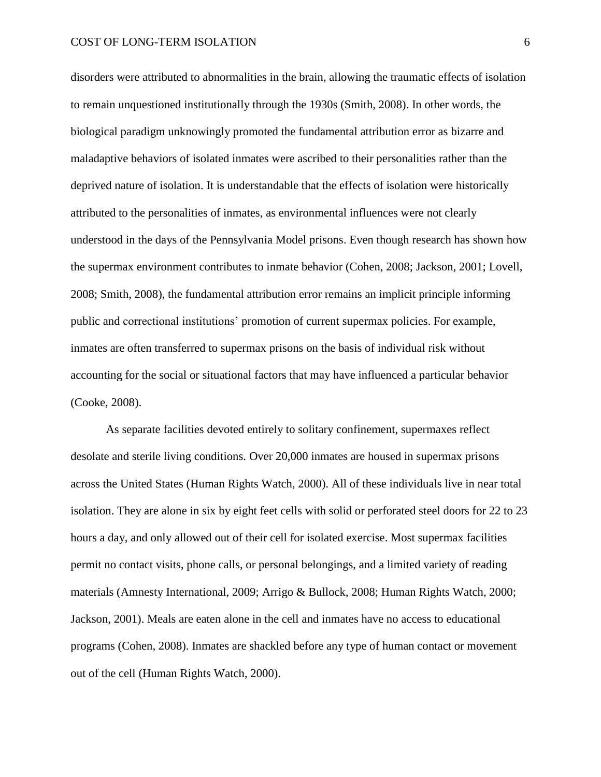disorders were attributed to abnormalities in the brain, allowing the traumatic effects of isolation to remain unquestioned institutionally through the 1930s (Smith, 2008). In other words, the biological paradigm unknowingly promoted the fundamental attribution error as bizarre and maladaptive behaviors of isolated inmates were ascribed to their personalities rather than the deprived nature of isolation. It is understandable that the effects of isolation were historically attributed to the personalities of inmates, as environmental influences were not clearly understood in the days of the Pennsylvania Model prisons. Even though research has shown how the supermax environment contributes to inmate behavior (Cohen, 2008; Jackson, 2001; Lovell, 2008; Smith, 2008), the fundamental attribution error remains an implicit principle informing public and correctional institutions" promotion of current supermax policies. For example, inmates are often transferred to supermax prisons on the basis of individual risk without accounting for the social or situational factors that may have influenced a particular behavior (Cooke, 2008).

As separate facilities devoted entirely to solitary confinement, supermaxes reflect desolate and sterile living conditions. Over 20,000 inmates are housed in supermax prisons across the United States (Human Rights Watch, 2000). All of these individuals live in near total isolation. They are alone in six by eight feet cells with solid or perforated steel doors for 22 to 23 hours a day, and only allowed out of their cell for isolated exercise. Most supermax facilities permit no contact visits, phone calls, or personal belongings, and a limited variety of reading materials (Amnesty International, 2009; Arrigo & Bullock, 2008; Human Rights Watch, 2000; Jackson, 2001). Meals are eaten alone in the cell and inmates have no access to educational programs (Cohen, 2008). Inmates are shackled before any type of human contact or movement out of the cell (Human Rights Watch, 2000).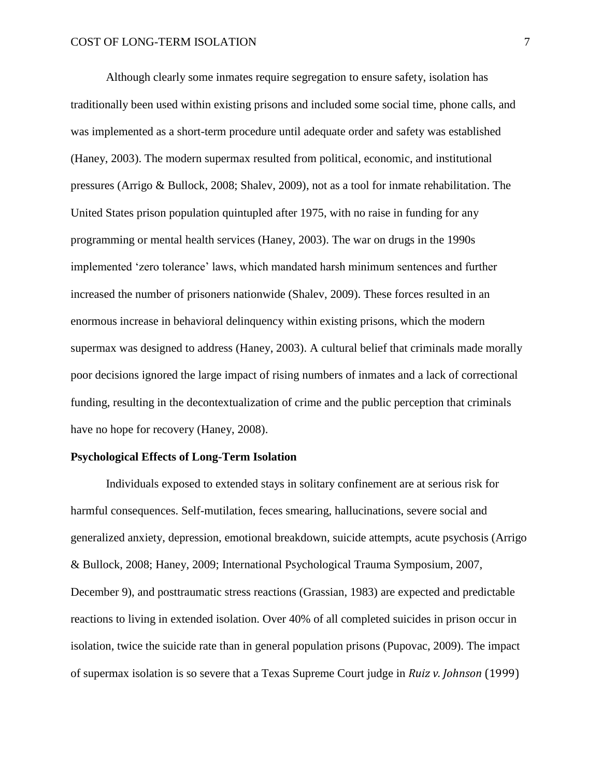Although clearly some inmates require segregation to ensure safety, isolation has traditionally been used within existing prisons and included some social time, phone calls, and was implemented as a short-term procedure until adequate order and safety was established (Haney, 2003). The modern supermax resulted from political, economic, and institutional pressures (Arrigo & Bullock, 2008; Shalev, 2009), not as a tool for inmate rehabilitation. The United States prison population quintupled after 1975, with no raise in funding for any programming or mental health services (Haney, 2003). The war on drugs in the 1990s implemented "zero tolerance" laws, which mandated harsh minimum sentences and further increased the number of prisoners nationwide (Shalev, 2009). These forces resulted in an enormous increase in behavioral delinquency within existing prisons, which the modern supermax was designed to address (Haney, 2003). A cultural belief that criminals made morally poor decisions ignored the large impact of rising numbers of inmates and a lack of correctional funding, resulting in the decontextualization of crime and the public perception that criminals have no hope for recovery (Haney, 2008).

### **Psychological Effects of Long-Term Isolation**

Individuals exposed to extended stays in solitary confinement are at serious risk for harmful consequences. Self-mutilation, feces smearing, hallucinations, severe social and generalized anxiety, depression, emotional breakdown, suicide attempts, acute psychosis (Arrigo & Bullock, 2008; Haney, 2009; International Psychological Trauma Symposium, 2007, December 9), and posttraumatic stress reactions (Grassian, 1983) are expected and predictable reactions to living in extended isolation. Over 40% of all completed suicides in prison occur in isolation, twice the suicide rate than in general population prisons (Pupovac, 2009). The impact of supermax isolation is so severe that a Texas Supreme Court judge in *Ruiz v. Johnson* (1999)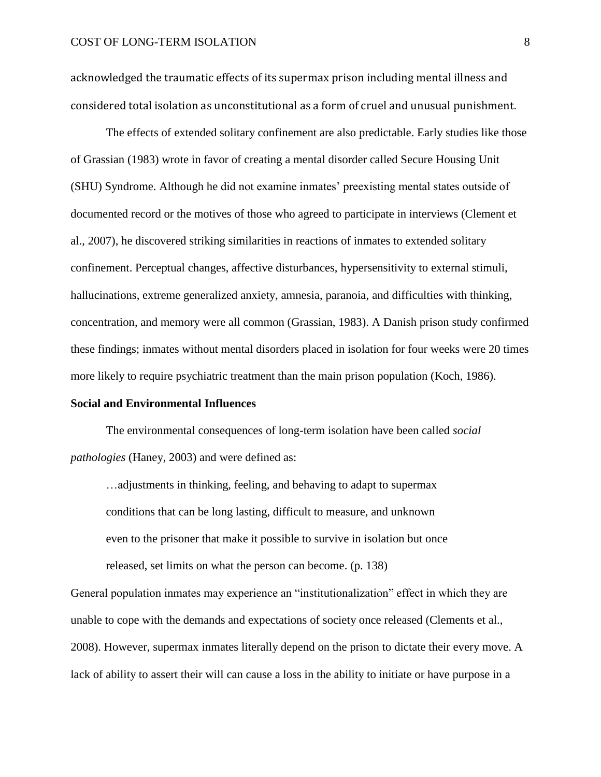acknowledged the traumatic effects of its supermax prison including mental illness and considered total isolation as unconstitutional as a form of cruel and unusual punishment.

The effects of extended solitary confinement are also predictable. Early studies like those of Grassian (1983) wrote in favor of creating a mental disorder called Secure Housing Unit (SHU) Syndrome. Although he did not examine inmates" preexisting mental states outside of documented record or the motives of those who agreed to participate in interviews (Clement et al., 2007), he discovered striking similarities in reactions of inmates to extended solitary confinement. Perceptual changes, affective disturbances, hypersensitivity to external stimuli, hallucinations, extreme generalized anxiety, amnesia, paranoia, and difficulties with thinking, concentration, and memory were all common (Grassian, 1983). A Danish prison study confirmed these findings; inmates without mental disorders placed in isolation for four weeks were 20 times more likely to require psychiatric treatment than the main prison population (Koch, 1986).

#### **Social and Environmental Influences**

The environmental consequences of long-term isolation have been called *social pathologies* (Haney, 2003) and were defined as:

…adjustments in thinking, feeling, and behaving to adapt to supermax conditions that can be long lasting, difficult to measure, and unknown even to the prisoner that make it possible to survive in isolation but once released, set limits on what the person can become. (p. 138)

General population inmates may experience an "institutionalization" effect in which they are unable to cope with the demands and expectations of society once released (Clements et al., 2008). However, supermax inmates literally depend on the prison to dictate their every move. A lack of ability to assert their will can cause a loss in the ability to initiate or have purpose in a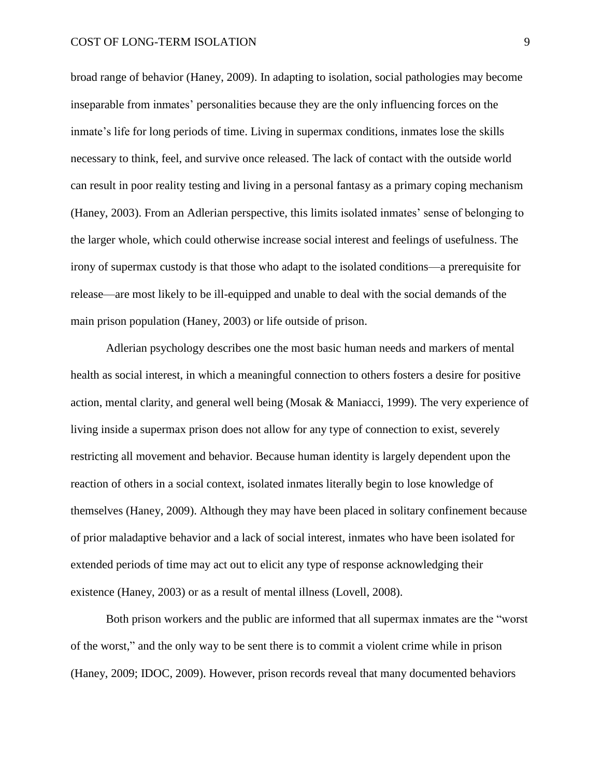broad range of behavior (Haney, 2009). In adapting to isolation, social pathologies may become inseparable from inmates" personalities because they are the only influencing forces on the inmate's life for long periods of time. Living in supermax conditions, inmates lose the skills necessary to think, feel, and survive once released. The lack of contact with the outside world can result in poor reality testing and living in a personal fantasy as a primary coping mechanism (Haney, 2003). From an Adlerian perspective, this limits isolated inmates' sense of belonging to the larger whole, which could otherwise increase social interest and feelings of usefulness. The irony of supermax custody is that those who adapt to the isolated conditions—a prerequisite for release—are most likely to be ill-equipped and unable to deal with the social demands of the main prison population (Haney, 2003) or life outside of prison.

Adlerian psychology describes one the most basic human needs and markers of mental health as social interest, in which a meaningful connection to others fosters a desire for positive action, mental clarity, and general well being (Mosak & Maniacci, 1999). The very experience of living inside a supermax prison does not allow for any type of connection to exist, severely restricting all movement and behavior. Because human identity is largely dependent upon the reaction of others in a social context, isolated inmates literally begin to lose knowledge of themselves (Haney, 2009). Although they may have been placed in solitary confinement because of prior maladaptive behavior and a lack of social interest, inmates who have been isolated for extended periods of time may act out to elicit any type of response acknowledging their existence (Haney, 2003) or as a result of mental illness (Lovell, 2008).

Both prison workers and the public are informed that all supermax inmates are the "worst of the worst," and the only way to be sent there is to commit a violent crime while in prison (Haney, 2009; IDOC, 2009). However, prison records reveal that many documented behaviors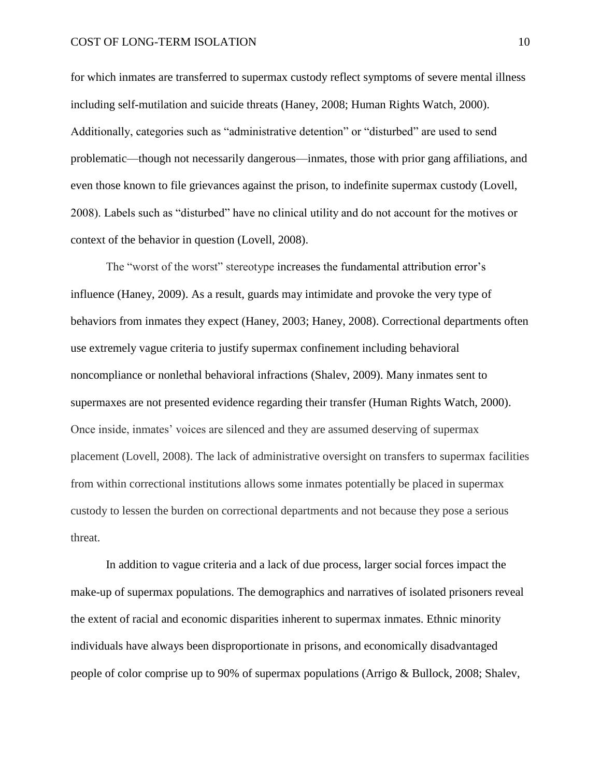for which inmates are transferred to supermax custody reflect symptoms of severe mental illness including self-mutilation and suicide threats (Haney, 2008; Human Rights Watch, 2000). Additionally, categories such as "administrative detention" or "disturbed" are used to send problematic—though not necessarily dangerous—inmates, those with prior gang affiliations, and even those known to file grievances against the prison, to indefinite supermax custody (Lovell, 2008). Labels such as "disturbed" have no clinical utility and do not account for the motives or context of the behavior in question (Lovell, 2008).

The "worst of the worst" stereotype increases the fundamental attribution error"s influence (Haney, 2009). As a result, guards may intimidate and provoke the very type of behaviors from inmates they expect (Haney, 2003; Haney, 2008). Correctional departments often use extremely vague criteria to justify supermax confinement including behavioral noncompliance or nonlethal behavioral infractions (Shalev, 2009). Many inmates sent to supermaxes are not presented evidence regarding their transfer (Human Rights Watch, 2000). Once inside, inmates" voices are silenced and they are assumed deserving of supermax placement (Lovell, 2008). The lack of administrative oversight on transfers to supermax facilities from within correctional institutions allows some inmates potentially be placed in supermax custody to lessen the burden on correctional departments and not because they pose a serious threat.

In addition to vague criteria and a lack of due process, larger social forces impact the make-up of supermax populations. The demographics and narratives of isolated prisoners reveal the extent of racial and economic disparities inherent to supermax inmates. Ethnic minority individuals have always been disproportionate in prisons, and economically disadvantaged people of color comprise up to 90% of supermax populations (Arrigo & Bullock, 2008; Shalev,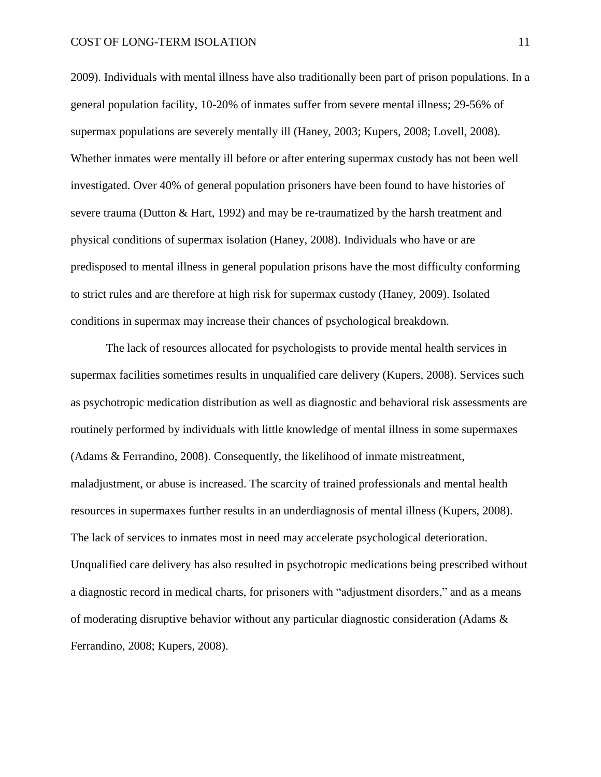2009). Individuals with mental illness have also traditionally been part of prison populations. In a general population facility, 10-20% of inmates suffer from severe mental illness; 29-56% of supermax populations are severely mentally ill (Haney, 2003; Kupers, 2008; Lovell, 2008). Whether inmates were mentally ill before or after entering supermax custody has not been well investigated. Over 40% of general population prisoners have been found to have histories of severe trauma (Dutton & Hart, 1992) and may be re-traumatized by the harsh treatment and physical conditions of supermax isolation (Haney, 2008). Individuals who have or are predisposed to mental illness in general population prisons have the most difficulty conforming to strict rules and are therefore at high risk for supermax custody (Haney, 2009). Isolated conditions in supermax may increase their chances of psychological breakdown.

The lack of resources allocated for psychologists to provide mental health services in supermax facilities sometimes results in unqualified care delivery (Kupers, 2008). Services such as psychotropic medication distribution as well as diagnostic and behavioral risk assessments are routinely performed by individuals with little knowledge of mental illness in some supermaxes (Adams & Ferrandino, 2008). Consequently, the likelihood of inmate mistreatment, maladjustment, or abuse is increased. The scarcity of trained professionals and mental health resources in supermaxes further results in an underdiagnosis of mental illness (Kupers, 2008). The lack of services to inmates most in need may accelerate psychological deterioration. Unqualified care delivery has also resulted in psychotropic medications being prescribed without a diagnostic record in medical charts, for prisoners with "adjustment disorders," and as a means of moderating disruptive behavior without any particular diagnostic consideration (Adams & Ferrandino, 2008; Kupers, 2008).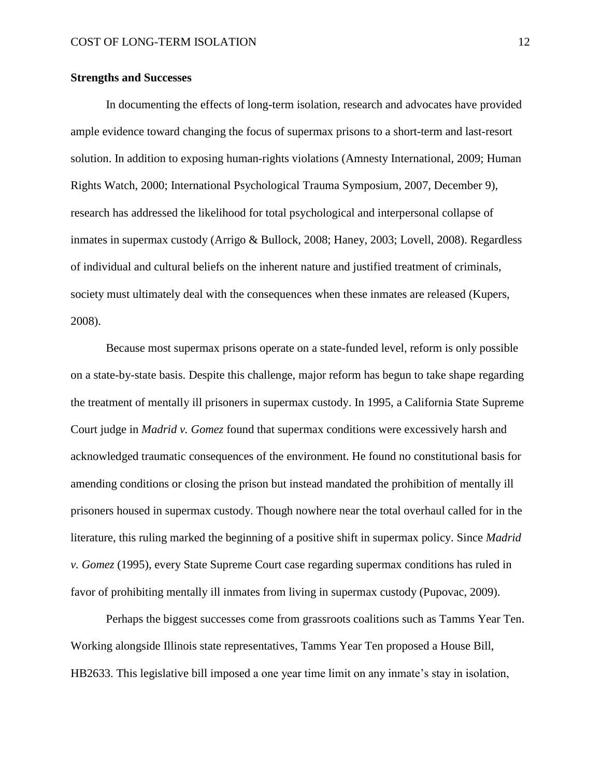# **Strengths and Successes**

In documenting the effects of long-term isolation, research and advocates have provided ample evidence toward changing the focus of supermax prisons to a short-term and last-resort solution. In addition to exposing human-rights violations (Amnesty International, 2009; Human Rights Watch, 2000; International Psychological Trauma Symposium, 2007, December 9), research has addressed the likelihood for total psychological and interpersonal collapse of inmates in supermax custody (Arrigo & Bullock, 2008; Haney, 2003; Lovell, 2008). Regardless of individual and cultural beliefs on the inherent nature and justified treatment of criminals, society must ultimately deal with the consequences when these inmates are released (Kupers, 2008).

Because most supermax prisons operate on a state-funded level, reform is only possible on a state-by-state basis. Despite this challenge, major reform has begun to take shape regarding the treatment of mentally ill prisoners in supermax custody. In 1995, a California State Supreme Court judge in *Madrid v. Gomez* found that supermax conditions were excessively harsh and acknowledged traumatic consequences of the environment. He found no constitutional basis for amending conditions or closing the prison but instead mandated the prohibition of mentally ill prisoners housed in supermax custody. Though nowhere near the total overhaul called for in the literature, this ruling marked the beginning of a positive shift in supermax policy. Since *Madrid v. Gomez* (1995), every State Supreme Court case regarding supermax conditions has ruled in favor of prohibiting mentally ill inmates from living in supermax custody (Pupovac, 2009).

Perhaps the biggest successes come from grassroots coalitions such as Tamms Year Ten. Working alongside Illinois state representatives, Tamms Year Ten proposed a House Bill, HB2633. This legislative bill imposed a one year time limit on any inmate's stay in isolation,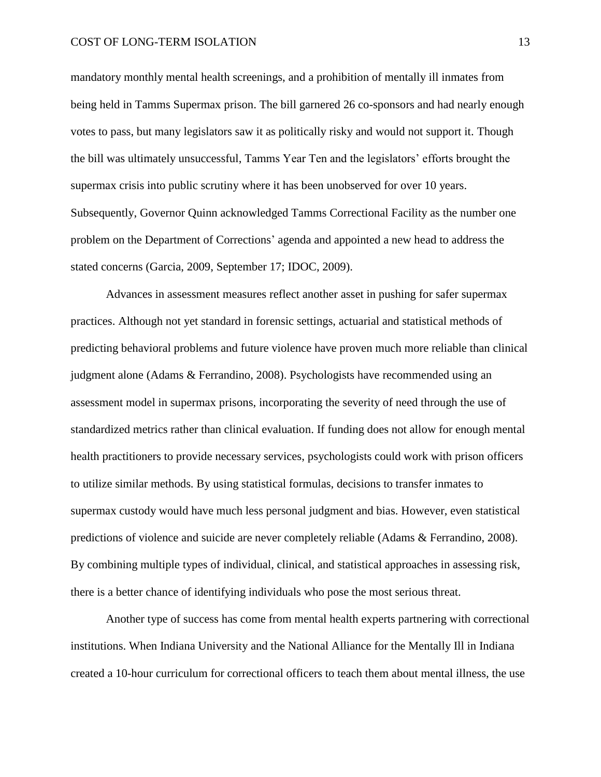mandatory monthly mental health screenings, and a prohibition of mentally ill inmates from being held in Tamms Supermax prison. The bill garnered 26 co-sponsors and had nearly enough votes to pass, but many legislators saw it as politically risky and would not support it. Though the bill was ultimately unsuccessful, Tamms Year Ten and the legislators" efforts brought the supermax crisis into public scrutiny where it has been unobserved for over 10 years. Subsequently, Governor Quinn acknowledged Tamms Correctional Facility as the number one problem on the Department of Corrections" agenda and appointed a new head to address the stated concerns (Garcia, 2009, September 17; IDOC, 2009).

Advances in assessment measures reflect another asset in pushing for safer supermax practices. Although not yet standard in forensic settings, actuarial and statistical methods of predicting behavioral problems and future violence have proven much more reliable than clinical judgment alone (Adams & Ferrandino, 2008). Psychologists have recommended using an assessment model in supermax prisons, incorporating the severity of need through the use of standardized metrics rather than clinical evaluation. If funding does not allow for enough mental health practitioners to provide necessary services, psychologists could work with prison officers to utilize similar methods. By using statistical formulas, decisions to transfer inmates to supermax custody would have much less personal judgment and bias. However, even statistical predictions of violence and suicide are never completely reliable (Adams & Ferrandino, 2008). By combining multiple types of individual, clinical, and statistical approaches in assessing risk, there is a better chance of identifying individuals who pose the most serious threat.

Another type of success has come from mental health experts partnering with correctional institutions. When Indiana University and the National Alliance for the Mentally Ill in Indiana created a 10-hour curriculum for correctional officers to teach them about mental illness, the use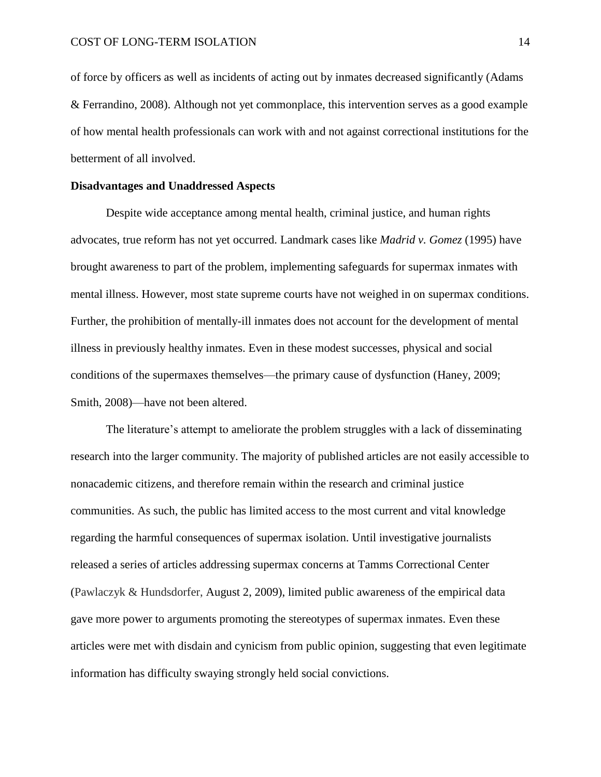of force by officers as well as incidents of acting out by inmates decreased significantly (Adams & Ferrandino, 2008). Although not yet commonplace, this intervention serves as a good example of how mental health professionals can work with and not against correctional institutions for the betterment of all involved.

## **Disadvantages and Unaddressed Aspects**

Despite wide acceptance among mental health, criminal justice, and human rights advocates, true reform has not yet occurred. Landmark cases like *Madrid v. Gomez* (1995) have brought awareness to part of the problem, implementing safeguards for supermax inmates with mental illness. However, most state supreme courts have not weighed in on supermax conditions. Further, the prohibition of mentally-ill inmates does not account for the development of mental illness in previously healthy inmates. Even in these modest successes, physical and social conditions of the supermaxes themselves—the primary cause of dysfunction (Haney, 2009; Smith, 2008)—have not been altered.

The literature's attempt to ameliorate the problem struggles with a lack of disseminating research into the larger community. The majority of published articles are not easily accessible to nonacademic citizens, and therefore remain within the research and criminal justice communities. As such, the public has limited access to the most current and vital knowledge regarding the harmful consequences of supermax isolation. Until investigative journalists released a series of articles addressing supermax concerns at Tamms Correctional Center (Pawlaczyk & Hundsdorfer, August 2, 2009), limited public awareness of the empirical data gave more power to arguments promoting the stereotypes of supermax inmates. Even these articles were met with disdain and cynicism from public opinion, suggesting that even legitimate information has difficulty swaying strongly held social convictions.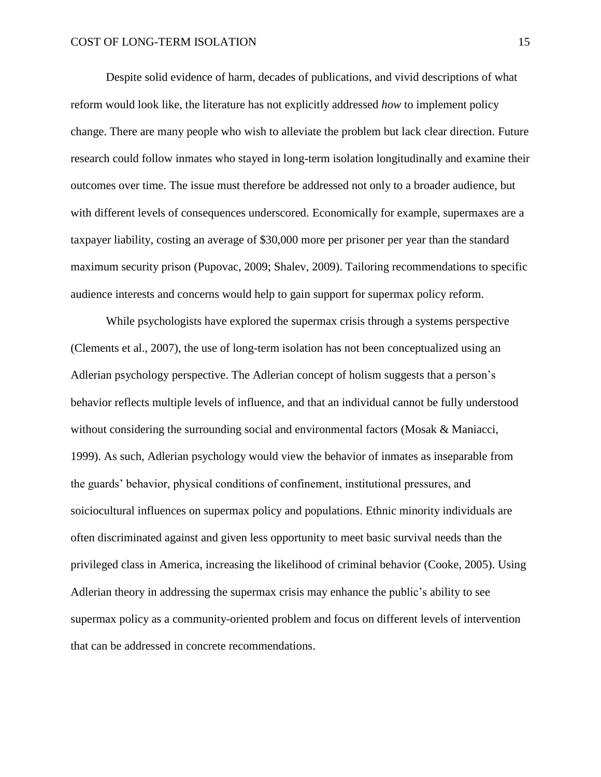Despite solid evidence of harm, decades of publications, and vivid descriptions of what reform would look like, the literature has not explicitly addressed *how* to implement policy change. There are many people who wish to alleviate the problem but lack clear direction. Future research could follow inmates who stayed in long-term isolation longitudinally and examine their outcomes over time. The issue must therefore be addressed not only to a broader audience, but with different levels of consequences underscored. Economically for example, supermaxes are a taxpayer liability, costing an average of \$30,000 more per prisoner per year than the standard maximum security prison (Pupovac, 2009; Shalev, 2009). Tailoring recommendations to specific audience interests and concerns would help to gain support for supermax policy reform.

While psychologists have explored the supermax crisis through a systems perspective (Clements et al., 2007), the use of long-term isolation has not been conceptualized using an Adlerian psychology perspective. The Adlerian concept of holism suggests that a person"s behavior reflects multiple levels of influence, and that an individual cannot be fully understood without considering the surrounding social and environmental factors (Mosak & Maniacci, 1999). As such, Adlerian psychology would view the behavior of inmates as inseparable from the guards" behavior, physical conditions of confinement, institutional pressures, and soiciocultural influences on supermax policy and populations. Ethnic minority individuals are often discriminated against and given less opportunity to meet basic survival needs than the privileged class in America, increasing the likelihood of criminal behavior (Cooke, 2005). Using Adlerian theory in addressing the supermax crisis may enhance the public"s ability to see supermax policy as a community-oriented problem and focus on different levels of intervention that can be addressed in concrete recommendations.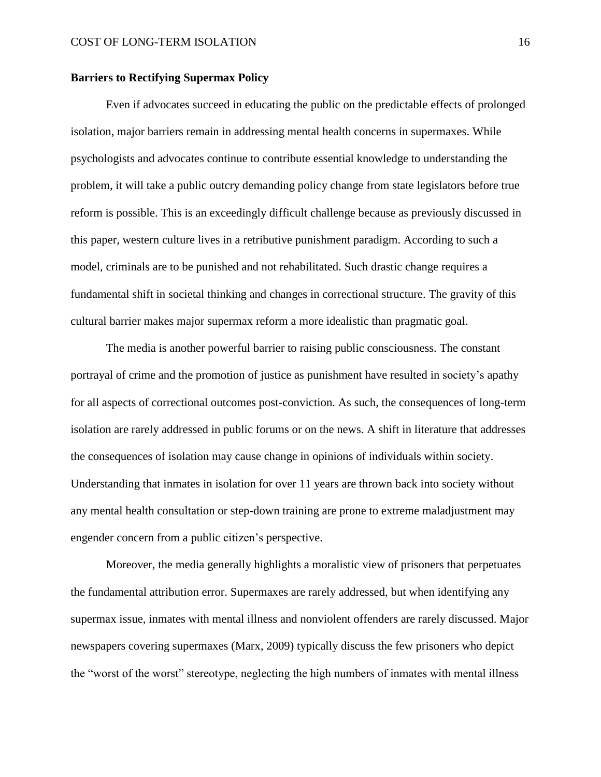# **Barriers to Rectifying Supermax Policy**

Even if advocates succeed in educating the public on the predictable effects of prolonged isolation, major barriers remain in addressing mental health concerns in supermaxes. While psychologists and advocates continue to contribute essential knowledge to understanding the problem, it will take a public outcry demanding policy change from state legislators before true reform is possible. This is an exceedingly difficult challenge because as previously discussed in this paper, western culture lives in a retributive punishment paradigm. According to such a model, criminals are to be punished and not rehabilitated. Such drastic change requires a fundamental shift in societal thinking and changes in correctional structure. The gravity of this cultural barrier makes major supermax reform a more idealistic than pragmatic goal.

The media is another powerful barrier to raising public consciousness. The constant portrayal of crime and the promotion of justice as punishment have resulted in society"s apathy for all aspects of correctional outcomes post-conviction. As such, the consequences of long-term isolation are rarely addressed in public forums or on the news. A shift in literature that addresses the consequences of isolation may cause change in opinions of individuals within society. Understanding that inmates in isolation for over 11 years are thrown back into society without any mental health consultation or step-down training are prone to extreme maladjustment may engender concern from a public citizen"s perspective.

Moreover, the media generally highlights a moralistic view of prisoners that perpetuates the fundamental attribution error. Supermaxes are rarely addressed, but when identifying any supermax issue, inmates with mental illness and nonviolent offenders are rarely discussed. Major newspapers covering supermaxes (Marx, 2009) typically discuss the few prisoners who depict the "worst of the worst" stereotype, neglecting the high numbers of inmates with mental illness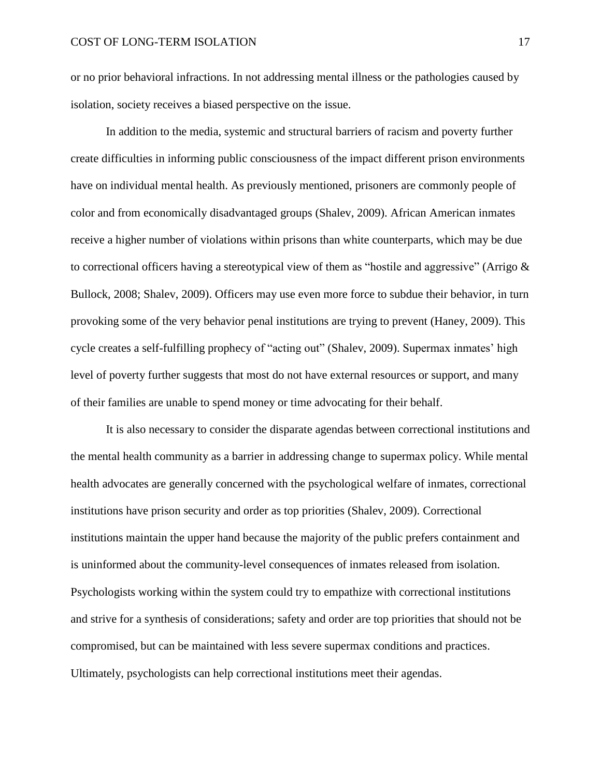or no prior behavioral infractions. In not addressing mental illness or the pathologies caused by isolation, society receives a biased perspective on the issue.

In addition to the media, systemic and structural barriers of racism and poverty further create difficulties in informing public consciousness of the impact different prison environments have on individual mental health. As previously mentioned, prisoners are commonly people of color and from economically disadvantaged groups (Shalev, 2009). African American inmates receive a higher number of violations within prisons than white counterparts, which may be due to correctional officers having a stereotypical view of them as "hostile and aggressive" (Arrigo  $\&$ Bullock, 2008; Shalev, 2009). Officers may use even more force to subdue their behavior, in turn provoking some of the very behavior penal institutions are trying to prevent (Haney, 2009). This cycle creates a self-fulfilling prophecy of "acting out" (Shalev, 2009). Supermax inmates' high level of poverty further suggests that most do not have external resources or support, and many of their families are unable to spend money or time advocating for their behalf.

It is also necessary to consider the disparate agendas between correctional institutions and the mental health community as a barrier in addressing change to supermax policy. While mental health advocates are generally concerned with the psychological welfare of inmates, correctional institutions have prison security and order as top priorities (Shalev, 2009). Correctional institutions maintain the upper hand because the majority of the public prefers containment and is uninformed about the community-level consequences of inmates released from isolation. Psychologists working within the system could try to empathize with correctional institutions and strive for a synthesis of considerations; safety and order are top priorities that should not be compromised, but can be maintained with less severe supermax conditions and practices. Ultimately, psychologists can help correctional institutions meet their agendas.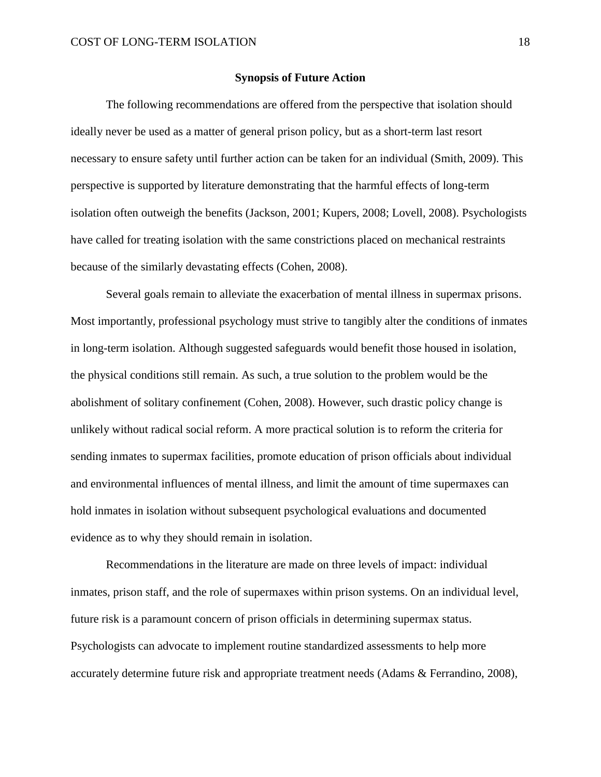## **Synopsis of Future Action**

The following recommendations are offered from the perspective that isolation should ideally never be used as a matter of general prison policy, but as a short-term last resort necessary to ensure safety until further action can be taken for an individual (Smith, 2009). This perspective is supported by literature demonstrating that the harmful effects of long-term isolation often outweigh the benefits (Jackson, 2001; Kupers, 2008; Lovell, 2008). Psychologists have called for treating isolation with the same constrictions placed on mechanical restraints because of the similarly devastating effects (Cohen, 2008).

Several goals remain to alleviate the exacerbation of mental illness in supermax prisons. Most importantly, professional psychology must strive to tangibly alter the conditions of inmates in long-term isolation. Although suggested safeguards would benefit those housed in isolation, the physical conditions still remain. As such, a true solution to the problem would be the abolishment of solitary confinement (Cohen, 2008). However, such drastic policy change is unlikely without radical social reform. A more practical solution is to reform the criteria for sending inmates to supermax facilities, promote education of prison officials about individual and environmental influences of mental illness, and limit the amount of time supermaxes can hold inmates in isolation without subsequent psychological evaluations and documented evidence as to why they should remain in isolation.

Recommendations in the literature are made on three levels of impact: individual inmates, prison staff, and the role of supermaxes within prison systems. On an individual level, future risk is a paramount concern of prison officials in determining supermax status. Psychologists can advocate to implement routine standardized assessments to help more accurately determine future risk and appropriate treatment needs (Adams & Ferrandino, 2008),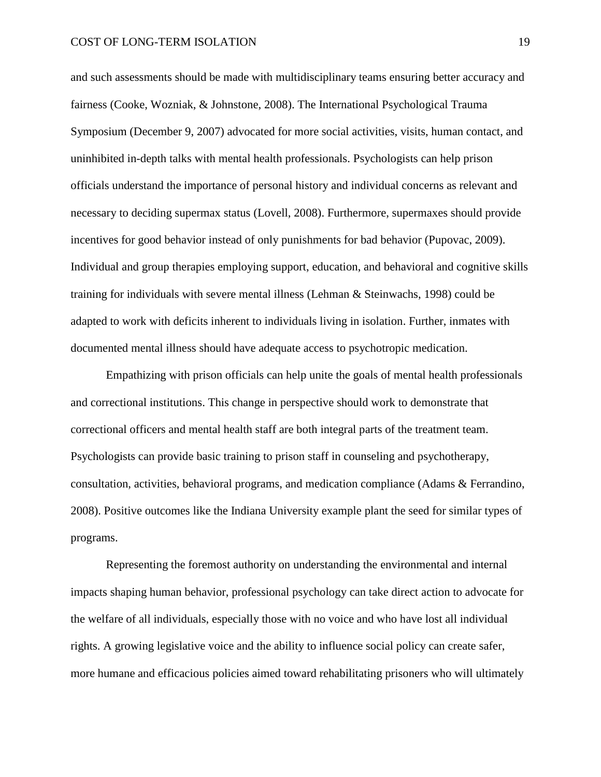and such assessments should be made with multidisciplinary teams ensuring better accuracy and fairness (Cooke, Wozniak, & Johnstone, 2008). The International Psychological Trauma Symposium (December 9, 2007) advocated for more social activities, visits, human contact, and uninhibited in-depth talks with mental health professionals. Psychologists can help prison officials understand the importance of personal history and individual concerns as relevant and necessary to deciding supermax status (Lovell, 2008). Furthermore, supermaxes should provide incentives for good behavior instead of only punishments for bad behavior (Pupovac, 2009). Individual and group therapies employing support, education, and behavioral and cognitive skills training for individuals with severe mental illness (Lehman & Steinwachs, 1998) could be adapted to work with deficits inherent to individuals living in isolation. Further, inmates with documented mental illness should have adequate access to psychotropic medication.

Empathizing with prison officials can help unite the goals of mental health professionals and correctional institutions. This change in perspective should work to demonstrate that correctional officers and mental health staff are both integral parts of the treatment team. Psychologists can provide basic training to prison staff in counseling and psychotherapy, consultation, activities, behavioral programs, and medication compliance (Adams & Ferrandino, 2008). Positive outcomes like the Indiana University example plant the seed for similar types of programs.

Representing the foremost authority on understanding the environmental and internal impacts shaping human behavior, professional psychology can take direct action to advocate for the welfare of all individuals, especially those with no voice and who have lost all individual rights. A growing legislative voice and the ability to influence social policy can create safer, more humane and efficacious policies aimed toward rehabilitating prisoners who will ultimately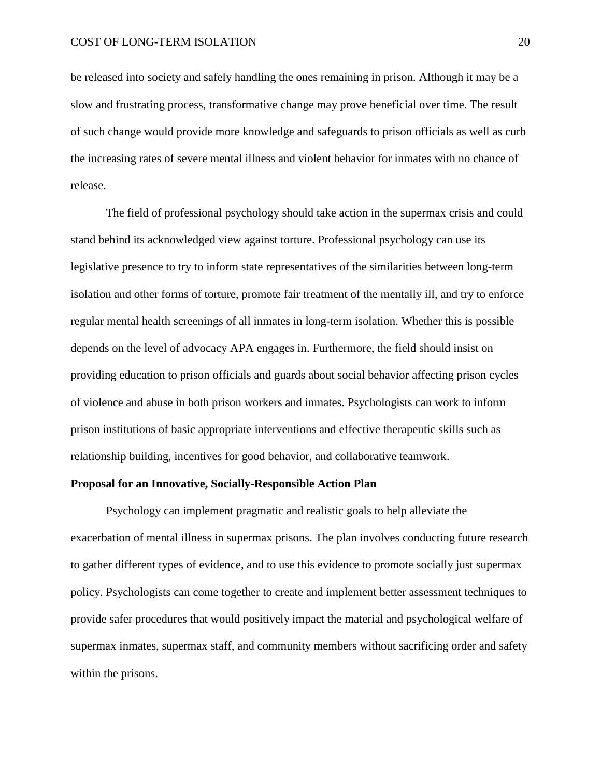be released into society and safely handling the ones remaining in prison. Although it may be a slow and frustrating process, transformative change may prove beneficial over time. The result of such change would provide more knowledge and safeguards to prison officials as well as curb the increasing rates of severe mental illness and violent behavior for inmates with no chance of release.

The field of professional psychology should take action in the supermax crisis and could stand behind its acknowledged view against torture. Professional psychology can use its legislative presence to try to inform state representatives of the similarities between long-term isolation and other forms of torture, promote fair treatment of the mentally ill, and try to enforce regular mental health screenings of all inmates in long-term isolation. Whether this is possible depends on the level of advocacy APA engages in. Furthermore, the field should insist on providing education to prison officials and guards about social behavior affecting prison cycles of violence and abuse in both prison workers and inmates. Psychologists can work to inform prison institutions of basic appropriate interventions and effective therapeutic skills such as relationship building, incentives for good behavior, and collaborative teamwork.

### **Proposal for an Innovative, Socially-Responsible Action Plan**

Psychology can implement pragmatic and realistic goals to help alleviate the exacerbation of mental illness in supermax prisons. The plan involves conducting future research to gather different types of evidence, and to use this evidence to promote socially just supermax policy. Psychologists can come together to create and implement better assessment techniques to provide safer procedures that would positively impact the material and psychological welfare of supermax inmates, supermax staff, and community members without sacrificing order and safety within the prisons.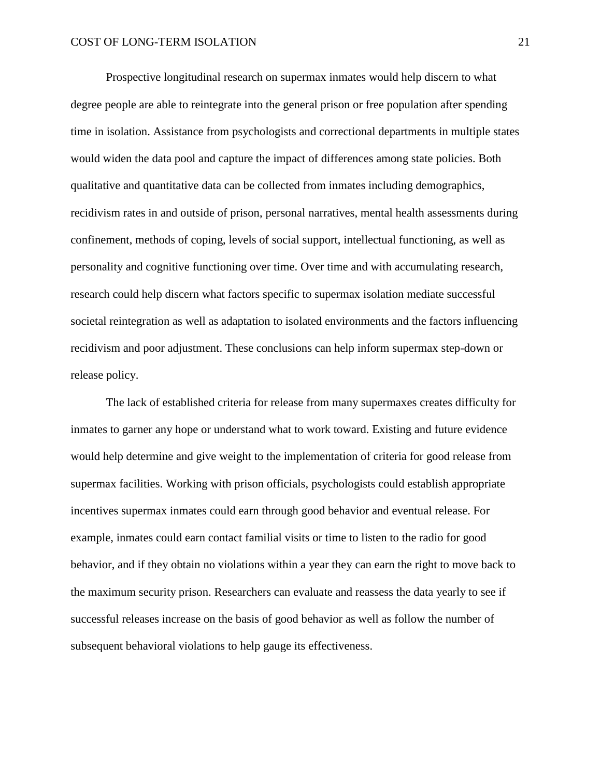Prospective longitudinal research on supermax inmates would help discern to what degree people are able to reintegrate into the general prison or free population after spending time in isolation. Assistance from psychologists and correctional departments in multiple states would widen the data pool and capture the impact of differences among state policies. Both qualitative and quantitative data can be collected from inmates including demographics, recidivism rates in and outside of prison, personal narratives, mental health assessments during confinement, methods of coping, levels of social support, intellectual functioning, as well as personality and cognitive functioning over time. Over time and with accumulating research, research could help discern what factors specific to supermax isolation mediate successful societal reintegration as well as adaptation to isolated environments and the factors influencing recidivism and poor adjustment. These conclusions can help inform supermax step-down or release policy.

The lack of established criteria for release from many supermaxes creates difficulty for inmates to garner any hope or understand what to work toward. Existing and future evidence would help determine and give weight to the implementation of criteria for good release from supermax facilities. Working with prison officials, psychologists could establish appropriate incentives supermax inmates could earn through good behavior and eventual release. For example, inmates could earn contact familial visits or time to listen to the radio for good behavior, and if they obtain no violations within a year they can earn the right to move back to the maximum security prison. Researchers can evaluate and reassess the data yearly to see if successful releases increase on the basis of good behavior as well as follow the number of subsequent behavioral violations to help gauge its effectiveness.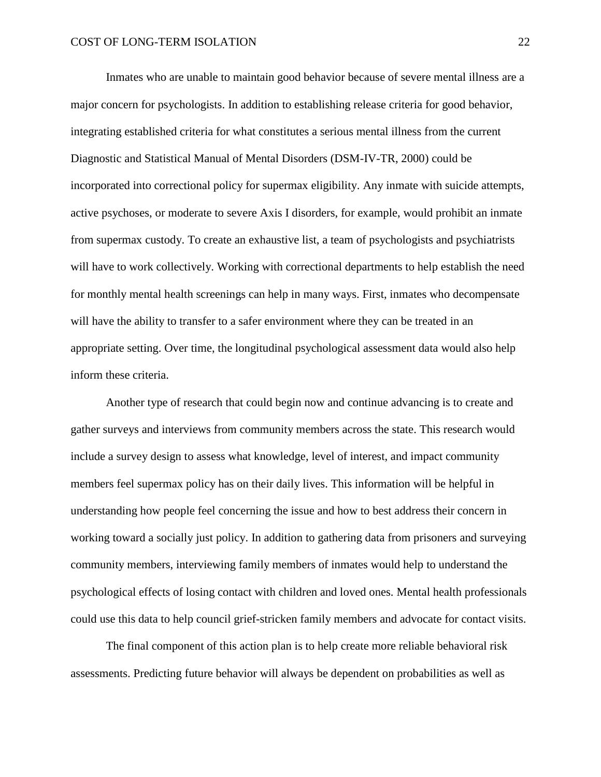Inmates who are unable to maintain good behavior because of severe mental illness are a major concern for psychologists. In addition to establishing release criteria for good behavior, integrating established criteria for what constitutes a serious mental illness from the current Diagnostic and Statistical Manual of Mental Disorders (DSM-IV-TR, 2000) could be incorporated into correctional policy for supermax eligibility. Any inmate with suicide attempts, active psychoses, or moderate to severe Axis I disorders, for example, would prohibit an inmate from supermax custody. To create an exhaustive list, a team of psychologists and psychiatrists will have to work collectively. Working with correctional departments to help establish the need for monthly mental health screenings can help in many ways. First, inmates who decompensate will have the ability to transfer to a safer environment where they can be treated in an appropriate setting. Over time, the longitudinal psychological assessment data would also help inform these criteria.

Another type of research that could begin now and continue advancing is to create and gather surveys and interviews from community members across the state. This research would include a survey design to assess what knowledge, level of interest, and impact community members feel supermax policy has on their daily lives. This information will be helpful in understanding how people feel concerning the issue and how to best address their concern in working toward a socially just policy. In addition to gathering data from prisoners and surveying community members, interviewing family members of inmates would help to understand the psychological effects of losing contact with children and loved ones. Mental health professionals could use this data to help council grief-stricken family members and advocate for contact visits.

The final component of this action plan is to help create more reliable behavioral risk assessments. Predicting future behavior will always be dependent on probabilities as well as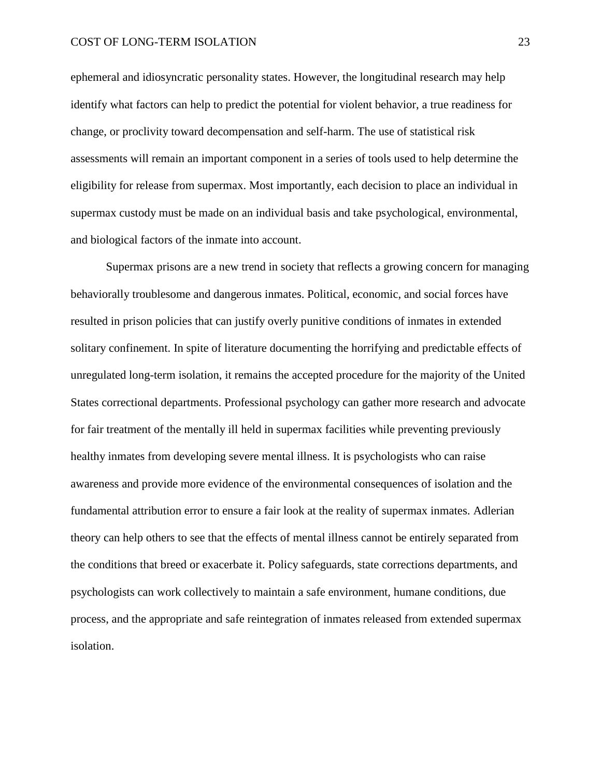ephemeral and idiosyncratic personality states. However, the longitudinal research may help identify what factors can help to predict the potential for violent behavior, a true readiness for change, or proclivity toward decompensation and self-harm. The use of statistical risk assessments will remain an important component in a series of tools used to help determine the eligibility for release from supermax. Most importantly, each decision to place an individual in supermax custody must be made on an individual basis and take psychological, environmental, and biological factors of the inmate into account.

Supermax prisons are a new trend in society that reflects a growing concern for managing behaviorally troublesome and dangerous inmates. Political, economic, and social forces have resulted in prison policies that can justify overly punitive conditions of inmates in extended solitary confinement. In spite of literature documenting the horrifying and predictable effects of unregulated long-term isolation, it remains the accepted procedure for the majority of the United States correctional departments. Professional psychology can gather more research and advocate for fair treatment of the mentally ill held in supermax facilities while preventing previously healthy inmates from developing severe mental illness. It is psychologists who can raise awareness and provide more evidence of the environmental consequences of isolation and the fundamental attribution error to ensure a fair look at the reality of supermax inmates. Adlerian theory can help others to see that the effects of mental illness cannot be entirely separated from the conditions that breed or exacerbate it. Policy safeguards, state corrections departments, and psychologists can work collectively to maintain a safe environment, humane conditions, due process, and the appropriate and safe reintegration of inmates released from extended supermax isolation.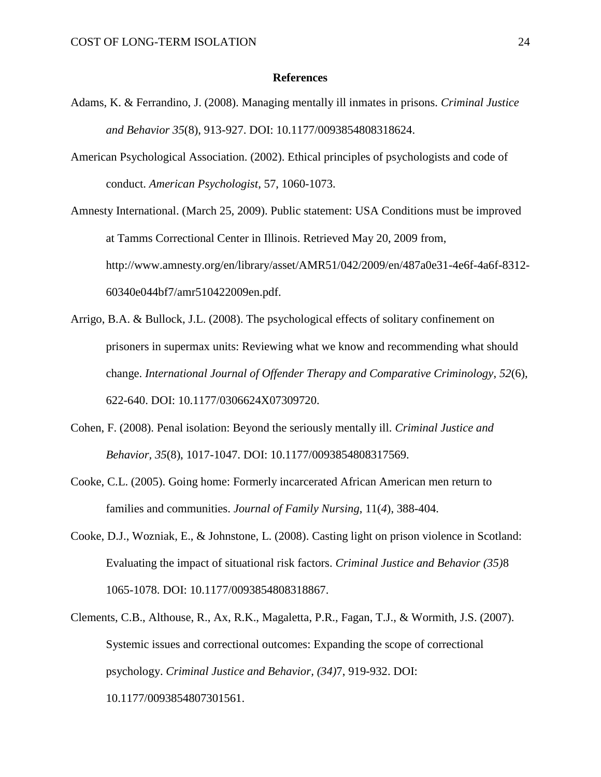# **References**

- Adams, K. & Ferrandino, J. (2008). Managing mentally ill inmates in prisons. *Criminal Justice and Behavior 35*(8), 913-927. DOI: 10.1177/0093854808318624.
- American Psychological Association. (2002). Ethical principles of psychologists and code of conduct. *American Psychologist*, 57, 1060-1073.

Amnesty International. (March 25, 2009). Public statement: USA Conditions must be improved at Tamms Correctional Center in Illinois. Retrieved May 20, 2009 from, http://www.amnesty.org/en/library/asset/AMR51/042/2009/en/487a0e31-4e6f-4a6f-8312- 60340e044bf7/amr510422009en.pdf.

- Arrigo, B.A. & Bullock, J.L. (2008). The psychological effects of solitary confinement on prisoners in supermax units: Reviewing what we know and recommending what should change. *International Journal of Offender Therapy and Comparative Criminology*, *52*(6), 622-640. DOI: 10.1177/0306624X07309720.
- Cohen, F. (2008). Penal isolation: Beyond the seriously mentally ill. *Criminal Justice and Behavior, 35*(8), 1017-1047. DOI: 10.1177/0093854808317569.
- Cooke, C.L. (2005). Going home: Formerly incarcerated African American men return to families and communities. *Journal of Family Nursing*, 11(*4*), 388-404.
- Cooke, D.J., Wozniak, E., & Johnstone, L. (2008). Casting light on prison violence in Scotland: Evaluating the impact of situational risk factors. *Criminal Justice and Behavior (35)*8 1065-1078. DOI: 10.1177/0093854808318867.
- Clements, C.B., Althouse, R., Ax, R.K., Magaletta, P.R., Fagan, T.J., & Wormith, J.S. (2007). Systemic issues and correctional outcomes: Expanding the scope of correctional psychology. *Criminal Justice and Behavior, (34)*7, 919-932. DOI: 10.1177/0093854807301561.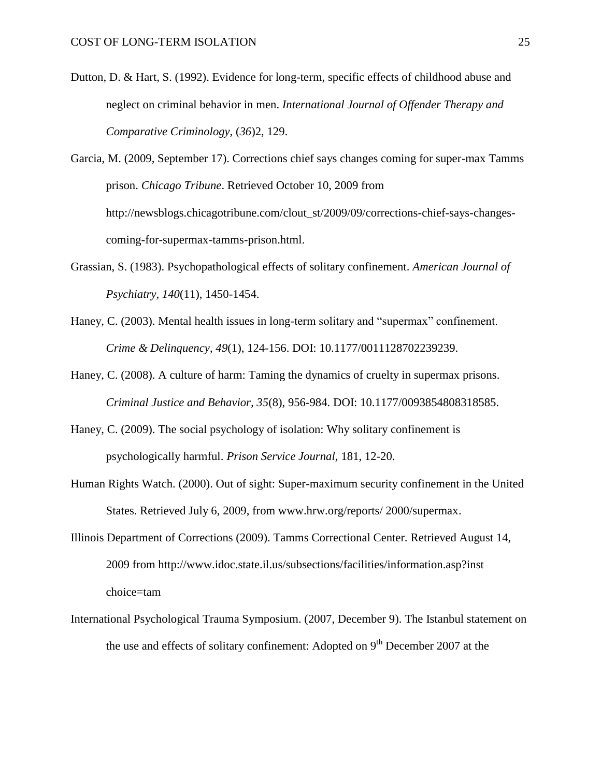- Dutton, D. & Hart, S. (1992). Evidence for long-term, specific effects of childhood abuse and neglect on criminal behavior in men. *International Journal of Offender Therapy and Comparative Criminology*, (*36*)2, 129.
- Garcia, M. (2009, September 17). Corrections chief says changes coming for super-max Tamms prison. *Chicago Tribune*. Retrieved October 10, 2009 from http://newsblogs.chicagotribune.com/clout\_st/2009/09/corrections-chief-says-changescoming-for-supermax-tamms-prison.html.
- Grassian, S. (1983). Psychopathological effects of solitary confinement. *American Journal of Psychiatry, 140*(11), 1450-1454.
- Haney, C. (2003). Mental health issues in long-term solitary and "supermax" confinement. *Crime & Delinquency*, *49*(1), 124-156. DOI: 10.1177/0011128702239239.
- Haney, C. (2008). A culture of harm: Taming the dynamics of cruelty in supermax prisons. *Criminal Justice and Behavior, 35*(8), 956-984. DOI: 10.1177/0093854808318585.
- Haney, C. (2009). The social psychology of isolation: Why solitary confinement is psychologically harmful. *Prison Service Journal,* 181, 12-20.
- Human Rights Watch. (2000). Out of sight: Super-maximum security confinement in the United States. Retrieved July 6, 2009, from www.hrw.org/reports/ 2000/supermax.
- Illinois Department of Corrections (2009). Tamms Correctional Center. Retrieved August 14, 2009 from http://www.idoc.state.il.us/subsections/facilities/information.asp?inst choice=tam
- International Psychological Trauma Symposium. (2007, December 9). The Istanbul statement on the use and effects of solitary confinement: Adopted on  $9<sup>th</sup>$  December 2007 at the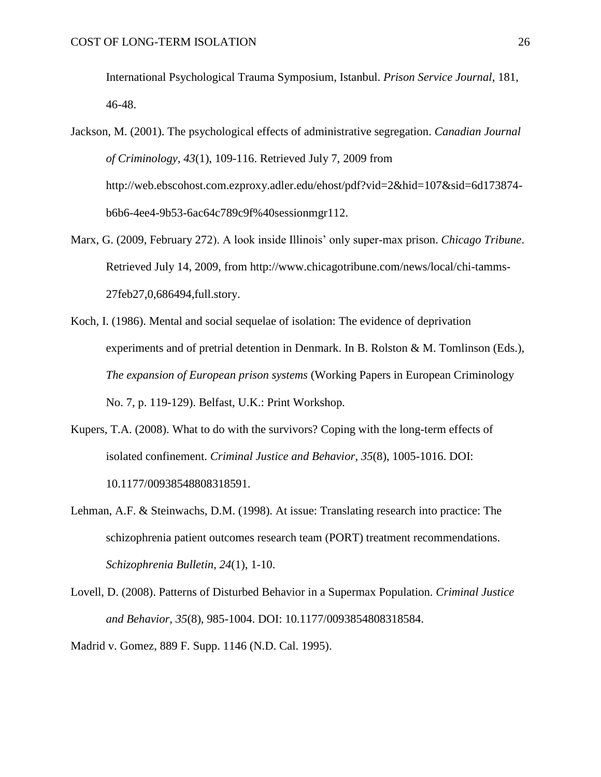International Psychological Trauma Symposium, Istanbul. *Prison Service Journal*, 181, 46-48.

- Jackson, M. (2001). The psychological effects of administrative segregation. *Canadian Journal of Criminology, 43*(1), 109-116. Retrieved July 7, 2009 from http://web.ebscohost.com.ezproxy.adler.edu/ehost/pdf?vid=2&hid=107&sid=6d173874 b6b6-4ee4-9b53-6ac64c789c9f%40sessionmgr112.
- Marx, G. (2009, February 272). A look inside Illinois" only super-max prison. *Chicago Tribune*. Retrieved July 14, 2009, from http://www.chicagotribune.com/news/local/chi-tamms-27feb27,0,686494,full.story.
- Koch, I. (1986). Mental and social sequelae of isolation: The evidence of deprivation experiments and of pretrial detention in Denmark. In B. Rolston & M. Tomlinson (Eds.), *The expansion of European prison systems* (Working Papers in European Criminology No. 7, p. 119-129). Belfast, U.K.: Print Workshop.
- Kupers, T.A. (2008). What to do with the survivors? Coping with the long-term effects of isolated confinement. *Criminal Justice and Behavior*, *35*(8), 1005-1016. DOI: 10.1177/00938548808318591.
- Lehman, A.F. & Steinwachs, D.M. (1998). At issue: Translating research into practice: The schizophrenia patient outcomes research team (PORT) treatment recommendations. *Schizophrenia Bulletin*, *24*(1), 1-10.
- Lovell, D. (2008). Patterns of Disturbed Behavior in a Supermax Population. *Criminal Justice and Behavior, 35*(8), 985-1004. DOI: 10.1177/0093854808318584.

Madrid v. Gomez, 889 F. Supp. 1146 (N.D. Cal. 1995).